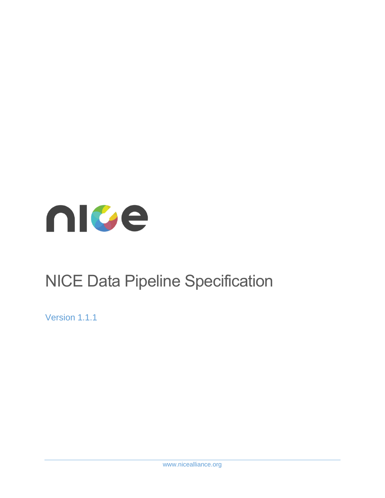

# NICE Data Pipeline Specification

Version 1.1.1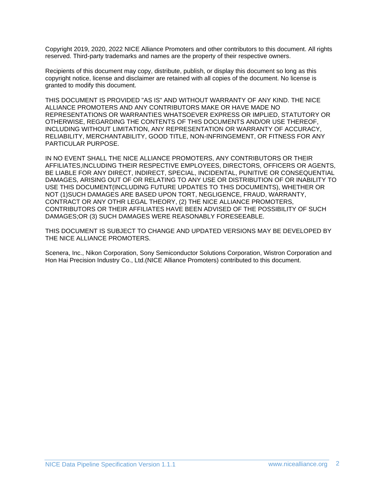Copyright 2019, 2020, 2022 NICE Alliance Promoters and other contributors to this document. All rights reserved. Third-party trademarks and names are the property of their respective owners.

Recipients of this document may copy, distribute, publish, or display this document so long as this copyright notice, license and disclaimer are retained with all copies of the document. No license is granted to modify this document.

THIS DOCUMENT IS PROVIDED "AS IS" AND WITHOUT WARRANTY OF ANY KIND. THE NICE ALLIANCE PROMOTERS AND ANY CONTRIBUTORS MAKE OR HAVE MADE NO REPRESENTATIONS OR WARRANTIES WHATSOEVER EXPRESS OR IMPLIED, STATUTORY OR OTHERWISE, REGARDING THE CONTENTS OF THIS DOCUMENTS AND/OR USE THEREOF, INCLUDING WITHOUT LIMITATION, ANY REPRESENTATION OR WARRANTY OF ACCURACY, RELIABILITY, MERCHANTABILITY, GOOD TITLE, NON-INFRINGEMENT, OR FITNESS FOR ANY PARTICULAR PURPOSE.

IN NO EVENT SHALL THE NICE ALLIANCE PROMOTERS, ANY CONTRIBUTORS OR THEIR AFFILIATES,INCLUDING THEIR RESPECTIVE EMPLOYEES, DIRECTORS, OFFICERS OR AGENTS, BE LIABLE FOR ANY DIRECT, INDIRECT, SPECIAL, INCIDENTAL, PUNITIVE OR CONSEQUENTIAL DAMAGES, ARISING OUT OF OR RELATING TO ANY USE OR DISTRIBUTION OF OR INABILITY TO USE THIS DOCUMENT(INCLUDING FUTURE UPDATES TO THIS DOCUMENTS), WHETHER OR NOT (1)SUCH DAMAGES ARE BASED UPON TORT, NEGLIGENCE, FRAUD, WARRANTY, CONTRACT OR ANY OTHR LEGAL THEORY, (2) THE NICE ALLIANCE PROMOTERS, CONTRIBUTORS OR THEIR AFFILIATES HAVE BEEN ADVISED OF THE POSSIBILITY OF SUCH DAMAGES;OR (3) SUCH DAMAGES WERE REASONABLY FORESEEABLE.

THIS DOCUMENT IS SUBJECT TO CHANGE AND UPDATED VERSIONS MAY BE DEVELOPED BY THE NICE ALLIANCE PROMOTERS.

Scenera, Inc., Nikon Corporation, Sony Semiconductor Solutions Corporation, Wistron Corporation and Hon Hai Precision Industry Co., Ltd.(NICE Alliance Promoters) contributed to this document.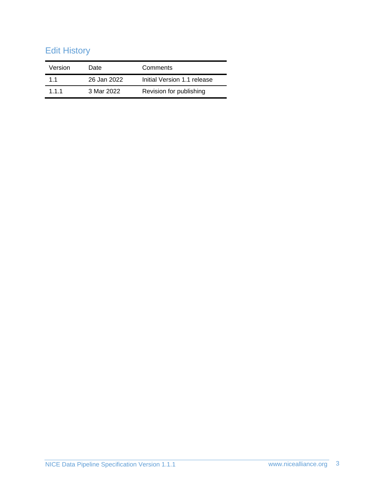# Edit History

| Version | Date        | Comments                    |
|---------|-------------|-----------------------------|
| 11      | 26 Jan 2022 | Initial Version 1.1 release |
| 111     | 3 Mar 2022  | Revision for publishing     |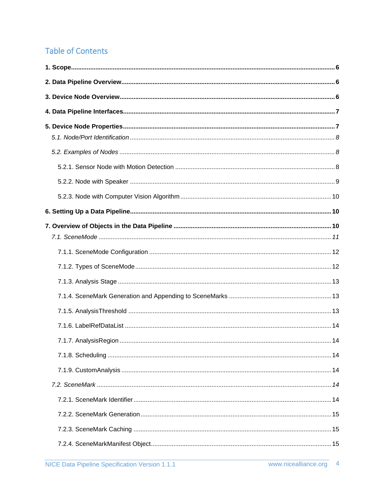# **Table of Contents**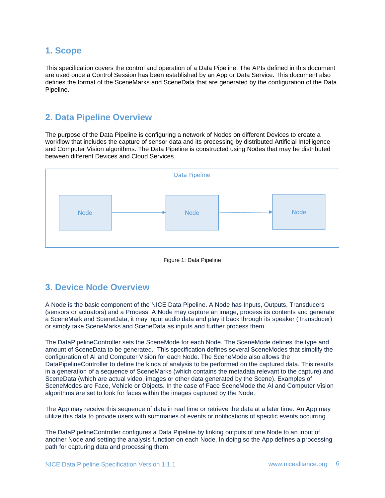### <span id="page-5-0"></span>**1. Scope**

This specification covers the control and operation of a Data Pipeline. The APIs defined in this document are used once a Control Session has been established by an App or Data Service. This document also defines the format of the SceneMarks and SceneData that are generated by the configuration of the Data Pipeline.

### <span id="page-5-1"></span>**2. Data Pipeline Overview**

The purpose of the Data Pipeline is configuring a network of Nodes on different Devices to create a workflow that includes the capture of sensor data and its processing by distributed Artificial Intelligence and Computer Vision algorithms. The Data Pipeline is constructed using Nodes that may be distributed between different Devices and Cloud Services.





### <span id="page-5-2"></span>**3. Device Node Overview**

A Node is the basic component of the NICE Data Pipeline. A Node has Inputs, Outputs, Transducers (sensors or actuators) and a Process. A Node may capture an image, process its contents and generate a SceneMark and SceneData, it may input audio data and play it back through its speaker (Transducer) or simply take SceneMarks and SceneData as inputs and further process them.

The DataPipelineController sets the SceneMode for each Node. The SceneMode defines the type and amount of SceneData to be generated. This specification defines several SceneModes that simplify the configuration of AI and Computer Vision for each Node. The SceneMode also allows the DataPipelineController to define the kinds of analysis to be performed on the captured data. This results in a generation of a sequence of SceneMarks (which contains the metadata relevant to the capture) and SceneData (which are actual video, images or other data generated by the Scene). Examples of SceneModes are Face, Vehicle or Objects. In the case of Face SceneMode the AI and Computer Vision algorithms are set to look for faces within the images captured by the Node.

The App may receive this sequence of data in real time or retrieve the data at a later time. An App may utilize this data to provide users with summaries of events or notifications of specific events occurring.

The DataPipelineController configures a Data Pipeline by linking outputs of one Node to an input of another Node and setting the analysis function on each Node. In doing so the App defines a processing path for capturing data and processing them.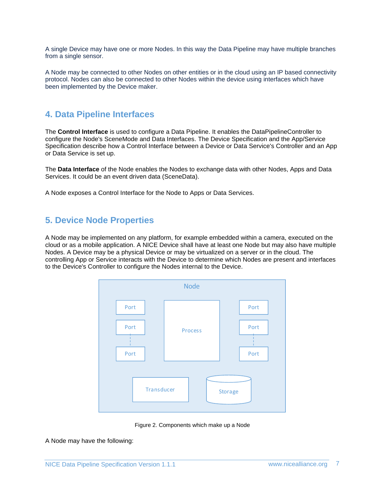A single Device may have one or more Nodes. In this way the Data Pipeline may have multiple branches from a single sensor.

A Node may be connected to other Nodes on other entities or in the cloud using an IP based connectivity protocol. Nodes can also be connected to other Nodes within the device using interfaces which have been implemented by the Device maker.

### <span id="page-6-0"></span>**4. Data Pipeline Interfaces**

The **Control Interface** is used to configure a Data Pipeline. It enables the DataPipelineController to configure the Node's SceneMode and Data Interfaces. The Device Specification and the App/Service Specification describe how a Control Interface between a Device or Data Service's Controller and an App or Data Service is set up.

The **Data Interface** of the Node enables the Nodes to exchange data with other Nodes, Apps and Data Services. It could be an event driven data (SceneData).

A Node exposes a Control Interface for the Node to Apps or Data Services.

### <span id="page-6-1"></span>**5. Device Node Properties**

A Node may be implemented on any platform, for example embedded within a camera, executed on the cloud or as a mobile application. A NICE Device shall have at least one Node but may also have multiple Nodes. A Device may be a physical Device or may be virtualized on a server or in the cloud. The controlling App or Service interacts with the Device to determine which Nodes are present and interfaces to the Device's Controller to configure the Nodes internal to the Device.



Figure 2. Components which make up a Node

A Node may have the following: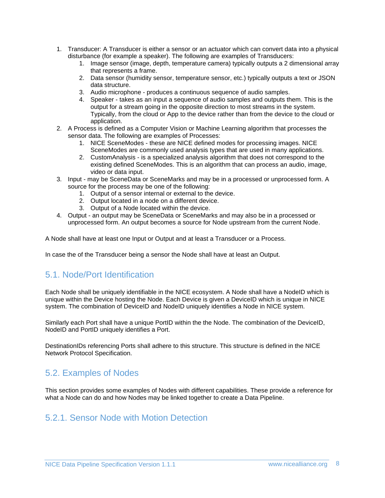- 1. Transducer: A Transducer is either a sensor or an actuator which can convert data into a physical disturbance (for example a speaker). The following are examples of Transducers:
	- 1. Image sensor (image, depth, temperature camera) typically outputs a 2 dimensional array that represents a frame.
	- 2. Data sensor (humidity sensor, temperature sensor, etc.) typically outputs a text or JSON data structure.
	- 3. Audio microphone produces a continuous sequence of audio samples.
	- 4. Speaker takes as an input a sequence of audio samples and outputs them. This is the output for a stream going in the opposite direction to most streams in the system. Typically, from the cloud or App to the device rather than from the device to the cloud or application.
- 2. A Process is defined as a Computer Vision or Machine Learning algorithm that processes the sensor data. The following are examples of Processes:
	- 1. NICE SceneModes these are NICE defined modes for processing images. NICE SceneModes are commonly used analysis types that are used in many applications.
	- 2. CustomAnalysis is a specialized analysis algorithm that does not correspond to the existing defined SceneModes. This is an algorithm that can process an audio, image, video or data input.
- 3. Input may be SceneData or SceneMarks and may be in a processed or unprocessed form. A source for the process may be one of the following:
	- 1. Output of a sensor internal or external to the device.
	- 2. Output located in a node on a different device.
	- 3. Output of a Node located within the device.
- 4. Output an output may be SceneData or SceneMarks and may also be in a processed or unprocessed form. An output becomes a source for Node upstream from the current Node.

A Node shall have at least one Input or Output and at least a Transducer or a Process.

In case the of the Transducer being a sensor the Node shall have at least an Output.

# <span id="page-7-0"></span>5.1. Node/Port Identification

Each Node shall be uniquely identifiable in the NICE ecosystem. A Node shall have a NodeID which is unique within the Device hosting the Node. Each Device is given a DeviceID which is unique in NICE system. The combination of DeviceID and NodeID uniquely identifies a Node in NICE system.

Similarly each Port shall have a unique PortID within the the Node. The combination of the DeviceID, NodeID and PortID uniquely identifies a Port.

DestinationIDs referencing Ports shall adhere to this structure. This structure is defined in the NICE Network Protocol Specification.

# <span id="page-7-1"></span>5.2. Examples of Nodes

This section provides some examples of Nodes with different capabilities. These provide a reference for what a Node can do and how Nodes may be linked together to create a Data Pipeline.

### <span id="page-7-2"></span>5.2.1. Sensor Node with Motion Detection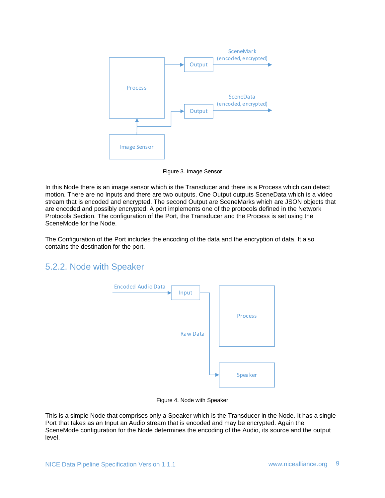

Figure 3. Image Sensor

In this Node there is an image sensor which is the Transducer and there is a Process which can detect motion. There are no Inputs and there are two outputs. One Output outputs SceneData which is a video stream that is encoded and encrypted. The second Output are SceneMarks which are JSON objects that are encoded and possibly encrypted. A port implements one of the protocols defined in the Network Protocols Section. The configuration of the Port, the Transducer and the Process is set using the SceneMode for the Node.

The Configuration of the Port includes the encoding of the data and the encryption of data. It also contains the destination for the port.

### <span id="page-8-0"></span>5.2.2. Node with Speaker



Figure 4. Node with Speaker

This is a simple Node that comprises only a Speaker which is the Transducer in the Node. It has a single Port that takes as an Input an Audio stream that is encoded and may be encrypted. Again the SceneMode configuration for the Node determines the encoding of the Audio, its source and the output level.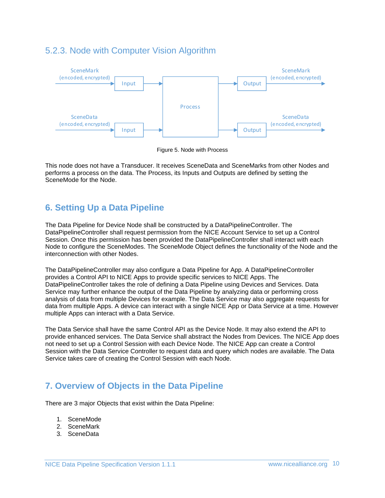### <span id="page-9-0"></span>5.2.3. Node with Computer Vision Algorithm



Figure 5. Node with Process

This node does not have a Transducer. It receives SceneData and SceneMarks from other Nodes and performs a process on the data. The Process, its Inputs and Outputs are defined by setting the SceneMode for the Node.

# <span id="page-9-1"></span>**6. Setting Up a Data Pipeline**

The Data Pipeline for Device Node shall be constructed by a DataPipelineController. The DataPipelineController shall request permission from the NICE Account Service to set up a Control Session. Once this permission has been provided the DataPipelineController shall interact with each Node to configure the SceneModes. The SceneMode Object defines the functionality of the Node and the interconnection with other Nodes.

The DataPipelineController may also configure a Data Pipeline for App. A DataPipelineController provides a Control API to NICE Apps to provide specific services to NICE Apps. The DataPipelineController takes the role of defining a Data Pipeline using Devices and Services. Data Service may further enhance the output of the Data Pipeline by analyzing data or performing cross analysis of data from multiple Devices for example. The Data Service may also aggregate requests for data from multiple Apps. A device can interact with a single NICE App or Data Service at a time. However multiple Apps can interact with a Data Service.

The Data Service shall have the same Control API as the Device Node. It may also extend the API to provide enhanced services. The Data Service shall abstract the Nodes from Devices. The NICE App does not need to set up a Control Session with each Device Node. The NICE App can create a Control Session with the Data Service Controller to request data and query which nodes are available. The Data Service takes care of creating the Control Session with each Node.

# <span id="page-9-2"></span>**7. Overview of Objects in the Data Pipeline**

There are 3 major Objects that exist within the Data Pipeline:

- 1. SceneMode
- 2. SceneMark
- 3. SceneData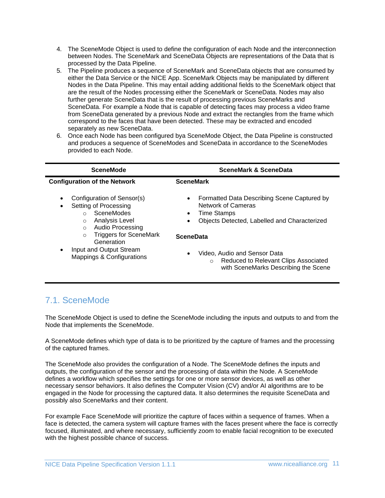- 4. The SceneMode Object is used to define the configuration of each Node and the interconnection between Nodes. The SceneMark and SceneData Objects are representations of the Data that is processed by the Data Pipeline.
- 5. The Pipeline produces a sequence of SceneMark and SceneData objects that are consumed by either the Data Service or the NICE App. SceneMark Objects may be manipulated by different Nodes in the Data Pipeline. This may entail adding additional fields to the SceneMark object that are the result of the Nodes processing either the SceneMark or SceneData. Nodes may also further generate SceneData that is the result of processing previous SceneMarks and SceneData. For example a Node that is capable of detecting faces may process a video frame from SceneData generated by a previous Node and extract the rectangles from the frame which correspond to the faces that have been detected. These may be extracted and encoded separately as new SceneData.
- 6. Once each Node has been configured bya SceneMode Object, the Data Pipeline is constructed and produces a sequence of SceneModes and SceneData in accordance to the SceneModes provided to each Node.

| <b>SceneMode</b>                                                                                                                                                                                                      | <b>SceneMark &amp; SceneData</b>                                                                                                                                                      |  |
|-----------------------------------------------------------------------------------------------------------------------------------------------------------------------------------------------------------------------|---------------------------------------------------------------------------------------------------------------------------------------------------------------------------------------|--|
| <b>Configuration of the Network</b>                                                                                                                                                                                   | <b>SceneMark</b>                                                                                                                                                                      |  |
| Configuration of Sensor(s)<br>$\bullet$<br>Setting of Processing<br>٠<br>SceneModes<br>$\cap$<br><b>Analysis Level</b><br>$\Omega$<br><b>Audio Processing</b><br>$\Omega$<br><b>Triggers for SceneMark</b><br>$\circ$ | Formatted Data Describing Scene Captured by<br>$\bullet$<br>Network of Cameras<br><b>Time Stamps</b><br>$\bullet$<br>Objects Detected, Labelled and Characterized<br><b>SceneData</b> |  |
| Generation<br>Input and Output Stream<br>$\bullet$<br>Mappings & Configurations                                                                                                                                       | Video, Audio and Sensor Data<br>$\bullet$<br>Reduced to Relevant Clips Associated<br>$\circ$<br>with SceneMarks Describing the Scene                                                  |  |

# <span id="page-10-0"></span>7.1. SceneMode

The SceneMode Object is used to define the SceneMode including the inputs and outputs to and from the Node that implements the SceneMode.

A SceneMode defines which type of data is to be prioritized by the capture of frames and the processing of the captured frames.

The SceneMode also provides the configuration of a Node. The SceneMode defines the inputs and outputs, the configuration of the sensor and the processing of data within the Node. A SceneMode defines a workflow which specifies the settings for one or more sensor devices, as well as other necessary sensor behaviors. It also defines the Computer Vision (CV) and/or AI algorithms are to be engaged in the Node for processing the captured data. It also determines the requisite SceneData and possibly also SceneMarks and their content.

For example Face SceneMode will prioritize the capture of faces within a sequence of frames. When a face is detected, the camera system will capture frames with the faces present where the face is correctly focused, illuminated, and where necessary, sufficiently zoom to enable facial recognition to be executed with the highest possible chance of success.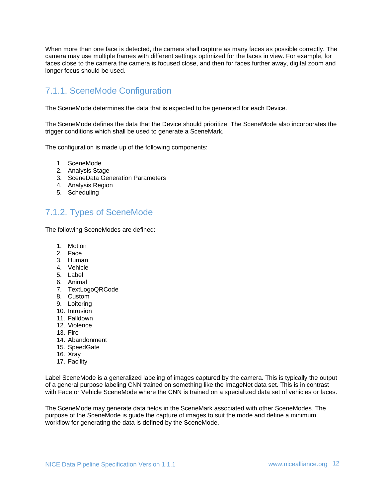When more than one face is detected, the camera shall capture as many faces as possible correctly. The camera may use multiple frames with different settings optimized for the faces in view. For example, for faces close to the camera the camera is focused close, and then for faces further away, digital zoom and longer focus should be used.

# <span id="page-11-0"></span>7.1.1. SceneMode Configuration

The SceneMode determines the data that is expected to be generated for each Device.

The SceneMode defines the data that the Device should prioritize. The SceneMode also incorporates the trigger conditions which shall be used to generate a SceneMark.

The configuration is made up of the following components:

- 1. SceneMode
- 2. Analysis Stage
- 3. SceneData Generation Parameters
- 4. Analysis Region
- 5. Scheduling

# <span id="page-11-1"></span>7.1.2. Types of SceneMode

The following SceneModes are defined:

- 1. Motion
- 2. Face
- 3. Human
- 4. Vehicle
- 5. Label
- 6. Animal
- 7. TextLogoQRCode
- 8. Custom
- 9. Loitering
- 10. Intrusion
- 11. Falldown
- 12. Violence
- 13. Fire
- 14. Abandonment
- 15. SpeedGate
- 16. Xray
- 17. Facility

Label SceneMode is a generalized labeling of images captured by the camera. This is typically the output of a general purpose labeling CNN trained on something like the ImageNet data set. This is in contrast with Face or Vehicle SceneMode where the CNN is trained on a specialized data set of vehicles or faces.

The SceneMode may generate data fields in the SceneMark associated with other SceneModes. The purpose of the SceneMode is guide the capture of images to suit the mode and define a minimum workflow for generating the data is defined by the SceneMode.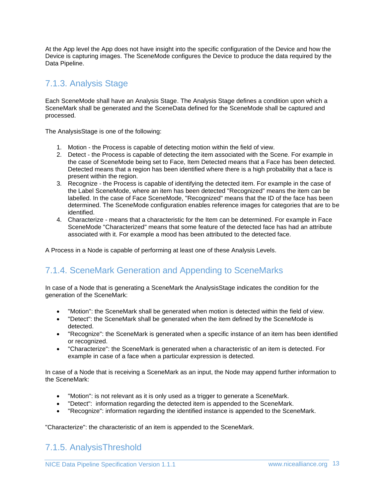At the App level the App does not have insight into the specific configuration of the Device and how the Device is capturing images. The SceneMode configures the Device to produce the data required by the Data Pipeline.

### <span id="page-12-0"></span>7.1.3. Analysis Stage

Each SceneMode shall have an Analysis Stage. The Analysis Stage defines a condition upon which a SceneMark shall be generated and the SceneData defined for the SceneMode shall be captured and processed.

The AnalysisStage is one of the following:

- 1. Motion the Process is capable of detecting motion within the field of view.
- 2. Detect the Process is capable of detecting the item associated with the Scene. For example in the case of SceneMode being set to Face, Item Detected means that a Face has been detected. Detected means that a region has been identified where there is a high probability that a face is present within the region.
- 3. Recognize the Process is capable of identifying the detected item. For example in the case of the Label SceneMode, where an item has been detected "Recognized" means the item can be labelled. In the case of Face SceneMode, "Recognized" means that the ID of the face has been determined. The SceneMode configuration enables reference images for categories that are to be identified.
- 4. Characterize means that a characteristic for the Item can be determined. For example in Face SceneMode "Characterized" means that some feature of the detected face has had an attribute associated with it. For example a mood has been attributed to the detected face.

A Process in a Node is capable of performing at least one of these Analysis Levels.

# <span id="page-12-1"></span>7.1.4. SceneMark Generation and Appending to SceneMarks

In case of a Node that is generating a SceneMark the AnalysisStage indicates the condition for the generation of the SceneMark:

- "Motion": the SceneMark shall be generated when motion is detected within the field of view.
- "Detect": the SceneMark shall be generated when the item defined by the SceneMode is detected.
- "Recognize": the SceneMark is generated when a specific instance of an item has been identified or recognized.
- "Characterize": the SceneMark is generated when a characteristic of an item is detected. For example in case of a face when a particular expression is detected.

In case of a Node that is receiving a SceneMark as an input, the Node may append further information to the SceneMark:

- "Motion": is not relevant as it is only used as a trigger to generate a SceneMark.
- "Detect": information regarding the detected item is appended to the SceneMark.
- "Recognize": information regarding the identified instance is appended to the SceneMark.

"Characterize": the characteristic of an item is appended to the SceneMark.

# <span id="page-12-2"></span>7.1.5. AnalysisThreshold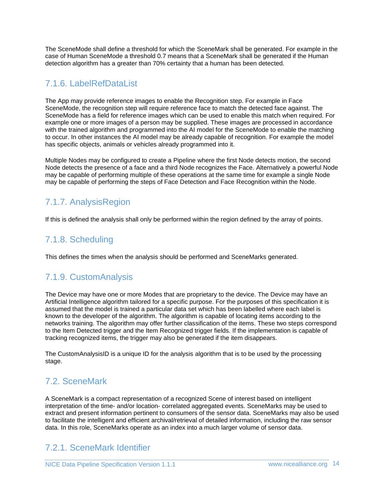The SceneMode shall define a threshold for which the SceneMark shall be generated. For example in the case of Human SceneMode a threshold 0.7 means that a SceneMark shall be generated if the Human detection algorithm has a greater than 70% certainty that a human has been detected.

### <span id="page-13-0"></span>7.1.6. LabelRefDataList

The App may provide reference images to enable the Recognition step. For example in Face SceneMode, the recognition step will require reference face to match the detected face against. The SceneMode has a field for reference images which can be used to enable this match when required. For example one or more images of a person may be supplied. These images are processed in accordance with the trained algorithm and programmed into the AI model for the SceneMode to enable the matching to occur. In other instances the AI model may be already capable of recognition. For example the model has specific objects, animals or vehicles already programmed into it.

Multiple Nodes may be configured to create a Pipeline where the first Node detects motion, the second Node detects the presence of a face and a third Node recognizes the Face. Alternatively a powerful Node may be capable of performing multiple of these operations at the same time for example a single Node may be capable of performing the steps of Face Detection and Face Recognition within the Node.

# <span id="page-13-1"></span>7.1.7. AnalysisRegion

If this is defined the analysis shall only be performed within the region defined by the array of points.

# <span id="page-13-2"></span>7.1.8. Scheduling

This defines the times when the analysis should be performed and SceneMarks generated.

# <span id="page-13-3"></span>7.1.9. CustomAnalysis

The Device may have one or more Modes that are proprietary to the device. The Device may have an Artificial Intelligence algorithm tailored for a specific purpose. For the purposes of this specification it is assumed that the model is trained a particular data set which has been labelled where each label is known to the developer of the algorithm. The algorithm is capable of locating items according to the networks training. The algorithm may offer further classification of the items. These two steps correspond to the Item Detected trigger and the Item Recognized trigger fields. If the implementation is capable of tracking recognized items, the trigger may also be generated if the item disappears.

The CustomAnalysisID is a unique ID for the analysis algorithm that is to be used by the processing stage.

# <span id="page-13-4"></span>7.2. SceneMark

A SceneMark is a compact representation of a recognized Scene of interest based on intelligent interpretation of the time- and/or location- correlated aggregated events. SceneMarks may be used to extract and present information pertinent to consumers of the sensor data. SceneMarks may also be used to facilitate the intelligent and efficient archival/retrieval of detailed information, including the raw sensor data. In this role, SceneMarks operate as an index into a much larger volume of sensor data.

# <span id="page-13-5"></span>7.2.1. SceneMark Identifier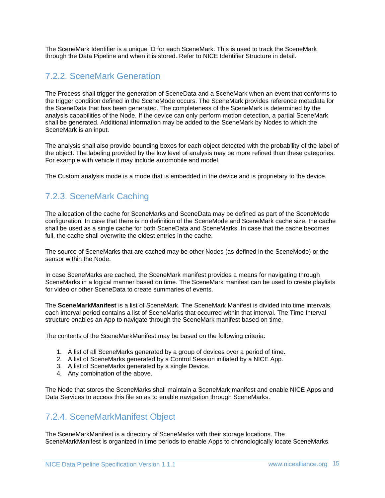The SceneMark Identifier is a unique ID for each SceneMark. This is used to track the SceneMark through the Data Pipeline and when it is stored. Refer to NICE Identifier Structure in detail.

### <span id="page-14-0"></span>7.2.2. SceneMark Generation

The Process shall trigger the generation of SceneData and a SceneMark when an event that conforms to the trigger condition defined in the SceneMode occurs. The SceneMark provides reference metadata for the SceneData that has been generated. The completeness of the SceneMark is determined by the analysis capabilities of the Node. If the device can only perform motion detection, a partial SceneMark shall be generated. Additional information may be added to the SceneMark by Nodes to which the SceneMark is an input.

The analysis shall also provide bounding boxes for each object detected with the probability of the label of the object. The labeling provided by the low level of analysis may be more refined than these categories. For example with vehicle it may include automobile and model.

The Custom analysis mode is a mode that is embedded in the device and is proprietary to the device.

# <span id="page-14-1"></span>7.2.3. SceneMark Caching

The allocation of the cache for SceneMarks and SceneData may be defined as part of the SceneMode configuration. In case that there is no definition of the SceneMode and SceneMark cache size, the cache shall be used as a single cache for both SceneData and SceneMarks. In case that the cache becomes full, the cache shall overwrite the oldest entries in the cache.

The source of SceneMarks that are cached may be other Nodes (as defined in the SceneMode) or the sensor within the Node.

In case SceneMarks are cached, the SceneMark manifest provides a means for navigating through SceneMarks in a logical manner based on time. The SceneMark manifest can be used to create playlists for video or other SceneData to create summaries of events.

The **SceneMarkManifest** is a list of SceneMark. The SceneMark Manifest is divided into time intervals, each interval period contains a list of SceneMarks that occurred within that interval. The Time Interval structure enables an App to navigate through the SceneMark manifest based on time.

The contents of the SceneMarkManifest may be based on the following criteria:

- 1. A list of all SceneMarks generated by a group of devices over a period of time.
- 2. A list of SceneMarks generated by a Control Session initiated by a NICE App.
- 3. A list of SceneMarks generated by a single Device.
- 4. Any combination of the above.

The Node that stores the SceneMarks shall maintain a SceneMark manifest and enable NICE Apps and Data Services to access this file so as to enable navigation through SceneMarks.

### <span id="page-14-2"></span>7.2.4. SceneMarkManifest Object

The SceneMarkManifest is a directory of SceneMarks with their storage locations. The SceneMarkManifest is organized in time periods to enable Apps to chronologically locate SceneMarks.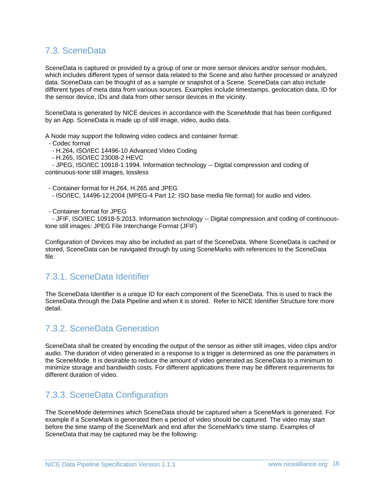### <span id="page-15-0"></span>7.3. SceneData

SceneData is captured or provided by a group of one or more sensor devices and/or sensor modules, which includes different types of sensor data related to the Scene and also further processed or analyzed data. SceneData can be thought of as a sample or snapshot of a Scene. SceneData can also include different types of meta data from various sources. Examples include timestamps, geolocation data, ID for the sensor device, IDs and data from other sensor devices in the vicinity.

SceneData is generated by NICE devices in accordance with the SceneMode that has been configured by an App. SceneData is made up of still image, video, audio data.

A Node may support the following video codecs and container format:

- Codec format

- H.264, ISO/IEC 14496-10 Advanced Video Coding

- H.265, ISO/IEC 23008-2 HEVC

- JPEG, ISO/IEC 10918-1:1994. Information technology -- Digital compression and coding of continuous-tone still images, lossless

- Container format for H.264, H.265 and JPEG

- ISO/IEC, 14496-12:2004 (MPEG-4 Part 12: ISO base media file format) for audio and video.

- Container format for JPEG

- JFIF, ISO/IEC 10918-5:2013. Information technology -- Digital compression and coding of continuoustone still images: JPEG File Interchange Format (JFIF)

Configuration of Devices may also be included as part of the SceneData. Where SceneData is cached or stored, SceneData can be navigated through by using SceneMarks with references to the SceneData file.

### <span id="page-15-1"></span>7.3.1. SceneData Identifier

The SceneData Identifier is a unique ID for each component of the SceneData. This is used to track the SceneData through the Data Pipeline and when it is stored. Refer to NICE Identifier Structure fore more detail.

### <span id="page-15-2"></span>7.3.2. SceneData Generation

SceneData shall be created by encoding the output of the sensor as either still images, video clips and/or audio. The duration of video generated in a response to a trigger is determined as one the parameters in the SceneMode. It is desirable to reduce the amount of video generated as SceneData to a minimum to minimize storage and bandwidth costs. For different applications there may be different requirements for different duration of video.

### <span id="page-15-3"></span>7.3.3. SceneData Configuration

The SceneMode determines which SceneData should be captured when a SceneMark is generated. For example if a SceneMark is generated then a period of video should be captured. The video may start before the time stamp of the SceneMark and end after the SceneMark's time stamp. Examples of SceneData that may be captured may be the following: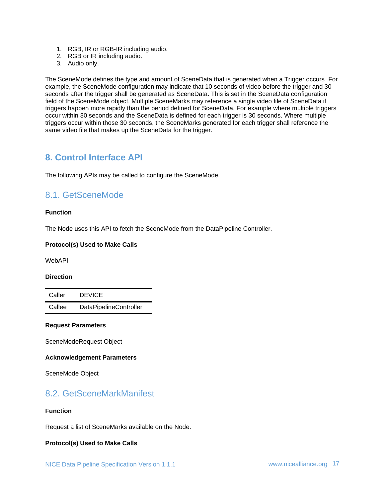- 1. RGB, IR or RGB-IR including audio.
- 2. RGB or IR including audio.
- 3. Audio only.

The SceneMode defines the type and amount of SceneData that is generated when a Trigger occurs. For example, the SceneMode configuration may indicate that 10 seconds of video before the trigger and 30 seconds after the trigger shall be generated as SceneData. This is set in the SceneData configuration field of the SceneMode object. Multiple SceneMarks may reference a single video file of SceneData if triggers happen more rapidly than the period defined for SceneData. For example where multiple triggers occur within 30 seconds and the SceneData is defined for each trigger is 30 seconds. Where multiple triggers occur within those 30 seconds, the SceneMarks generated for each trigger shall reference the same video file that makes up the SceneData for the trigger.

### <span id="page-16-0"></span>**8. Control Interface API**

The following APIs may be called to configure the SceneMode.

### <span id="page-16-1"></span>8.1. GetSceneMode

#### **Function**

The Node uses this API to fetch the SceneMode from the DataPipeline Controller.

#### **Protocol(s) Used to Make Calls**

WebAPI

#### **Direction**

Caller DEVICE Callee DataPipelineController

#### **Request Parameters**

SceneModeRequest Object

#### **Acknowledgement Parameters**

SceneMode Object

### <span id="page-16-2"></span>8.2. GetSceneMarkManifest

#### **Function**

Request a list of SceneMarks available on the Node.

#### **Protocol(s) Used to Make Calls**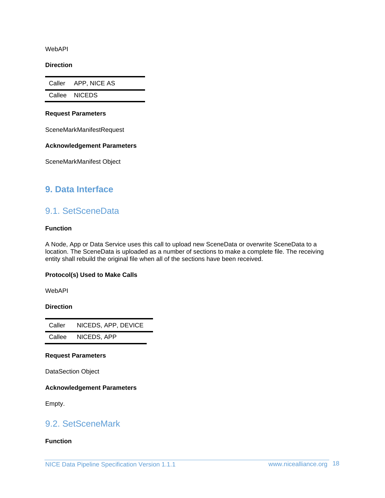WebAPI

**Direction**

Caller APP, NICE AS

Callee NICEDS

#### **Request Parameters**

SceneMarkManifestRequest

#### **Acknowledgement Parameters**

SceneMarkManifest Object

### <span id="page-17-1"></span><span id="page-17-0"></span>**9. Data Interface**

### 9.1. SetSceneData

#### **Function**

A Node, App or Data Service uses this call to upload new SceneData or overwrite SceneData to a location. The SceneData is uploaded as a number of sections to make a complete file. The receiving entity shall rebuild the original file when all of the sections have been received.

#### **Protocol(s) Used to Make Calls**

WebAPI

#### **Direction**

Caller NICEDS, APP, DEVICE Callee NICEDS, APP

#### **Request Parameters**

DataSection Object

**Acknowledgement Parameters**

Empty.

### <span id="page-17-2"></span>9.2. SetSceneMark

#### **Function**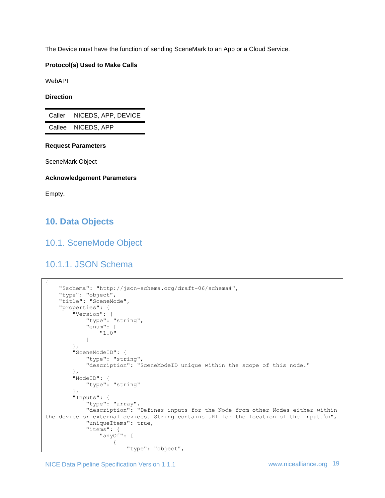The Device must have the function of sending SceneMark to an App or a Cloud Service.

#### **Protocol(s) Used to Make Calls**

WebAPI

#### **Direction**

| Caller | NICEDS, APP, DEVICE |
|--------|---------------------|
|        | Callee NICEDS, APP  |

#### **Request Parameters**

SceneMark Object

#### **Acknowledgement Parameters**

Empty.

# <span id="page-18-1"></span><span id="page-18-0"></span>**10. Data Objects**

### <span id="page-18-2"></span>10.1. SceneMode Object

### 10.1.1. JSON Schema

```
{
    "$schema": "http://json-schema.org/draft-06/schema#",
     "type": "object",
    "title": "SceneMode",
    "properties": {
 "Version": {
 "type": "string",
            "enum": [
                "1.0"
 ]
        },
        "SceneModeID": {
            "type": "string",
            "description": "SceneModeID unique within the scope of this node."
        },
        "NodeID": {
            "type": "string"
 },
 "Inputs": {
            "type": "array",
            "description": "Defines inputs for the Node from other Nodes either within 
the device or external devices. String contains URI for the location of the input.\n",
            "uniqueItems": true,
            "items": {
                "anyOf": [
{
                        "type": "object",
```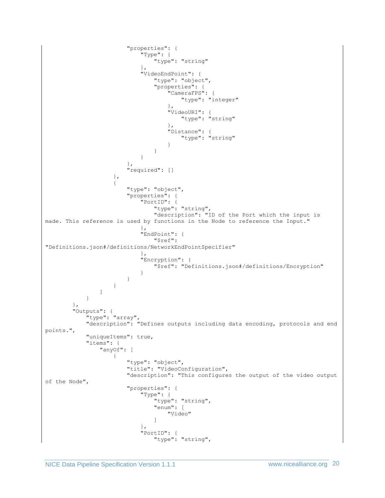```
 "properties": {
                     "Type": {
                        "type": "string"
 },
                    "VideoEndPoint": {
                        "type": "object",
                       "properties": {
                           "CameraFPS": {
                              "type": "integer"
 },
                           "VideoURI": {
                             "type": "string"
 },
                          "Distance": {
                             "type": "string"
 }
 }
 }
 },
                 "required": []
 },
              {
                  "type": "object",
                  "properties": {
                     "PortID": {
                        "type": "string",
                       "description": "ID of the Port which the input is 
made. This reference is used by functions in the Node to reference the Input."
 },
                    "EndPoint": {
                        "$ref": 
"Definitions.json#/definitions/NetworkEndPointSpecifier"
 },
                    "Encryption": {
                        "$ref": "Definitions.json#/definitions/Encryption"
 }
 }
 }
 ]
         }
       },
       "Outputs": {
         "type": "array",
         "description": "Defines outputs including data encoding, protocols and end 
points.",
         "uniqueItems": true,
         "items": {
            "anyOf": [
{
                  "type": "object",
                 "title": "VideoConfiguration",
                 "description": "This configures the output of the video output 
of the Node",
                  "properties": {
                     "Type": {
                       "type": "string",
                       "enum": [
                           "Video"
 ]
 },
                     "PortID": {
                        "type": "string",
```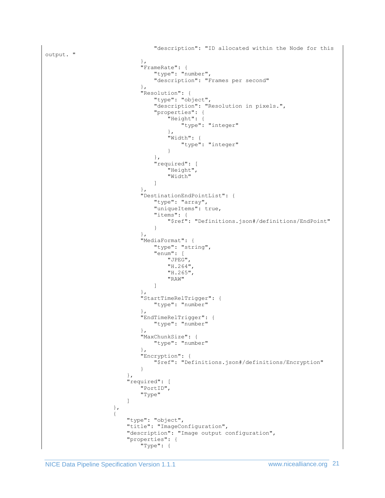```
 "description": "ID allocated within the Node for this 
output. "
 },
                        "FrameRate": {
                            "type": "number",
                           "description": "Frames per second"
 },
                        "Resolution": {
                            "type": "object",
                            "description": "Resolution in pixels.",
                           "properties": {
                               "Height": {
                                   "type": "integer"
  },
                               "Width": {
                                   "type": "integer"
 }
 },
                           "required": [
                               "Height",
                              "Width"
 ]
 },
                        "DestinationEndPointList": {
                            "type": "array",
                           "uniqueItems": true,
                           "items": {
                               "$ref": "Definitions.json#/definitions/EndPoint"
 }
 },
                        "MediaFormat": {
                            "type": "string",
                           "enum": [
                               "JPEG",
                              "H.264",
                              "H.265",
                              "RAW"
 ]
 },
                        "StartTimeRelTrigger": {
                            "type": "number"
 },
                        },<br>"EndTimeRelTrigger": {
                            "type": "number"
 },
                        "MaxChunkSize": {
                            "type": "number"
 },
                        "Encryption": {
                            "$ref": "Definitions.json#/definitions/Encryption"
 }
 },
                    "required": [
                         "PortID",
                        "Type"
\sim 100 \sim 100 \sim 100 \sim 100 \sim 100 \sim 100 \sim 100 \sim 100 \sim 100 \sim 100 \sim 100 \sim 100 \sim 100 \sim 100 \sim 100 \sim 100 \sim 100 \sim 100 \sim 100 \sim 100 \sim 100 \sim 100 \sim 100 \sim 100 \sim 
                  },
                 {
                     "type": "object",
                    "title": "ImageConfiguration",
                    "description": "Image output configuration",
                    "properties": {
                         "Type": {
```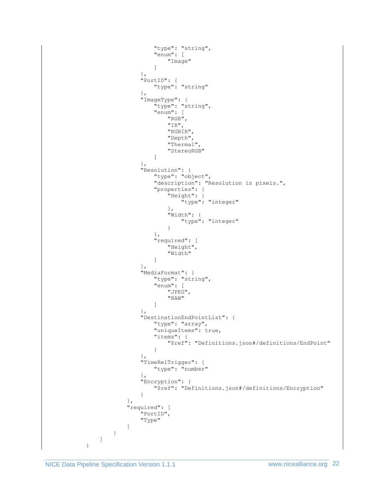```
 "type": "string",
                       "enum": [
                           "Image"
 ]
 },
                    "PortID": {
                        "type": "string"
 },
                     "ImageType": {
 "type": "string",
                        "enum": [
                           "RGB",
                           "IR",
                           "RGBIR",
                          "Depth",
                          "Thermal",
                          "StereoRGB"
 ]
 },
                     "Resolution": {
                         "type": "object",
                        "description": "Resolution in pixels.",
                        "properties": {
                           "Height": {
                              "type": "integer"
 },
                           "Width": {
                              "type": "integer"
 }
 },
                       "required": [
                          .<br>"Height",
                           "Width"
 ]
 },
                    "MediaFormat": {
 "type": "string",
                        "enum": [
                           "JPEG",
                          "RAW"
 ]
 },
                    "DestinationEndPointList": {
                        "type": "array",
                       "uniqueItems": true,
                       "items": {
                           "$ref": "Definitions.json#/definitions/EndPoint"
 }
 },
                    "TimeRelTrigger": {
                        "type": "number"
 },
                    "Encryption": {
                         "$ref": "Definitions.json#/definitions/Encryption"
 }
 },
                 "required": [
                     "PortID",
                    "Type"
\sim 100 \sim 100 \sim 100 \sim 100 \sim 100 \sim 100 \sim 100 \sim 100 \sim 100 \sim 100 \sim 100 \sim 100 \sim 100 \sim 100 \sim 100 \sim 100 \sim 100 \sim 100 \sim 100 \sim 100 \sim 100 \sim 100 \sim 100 \sim 100 \sim 
               }
 ]
 }
```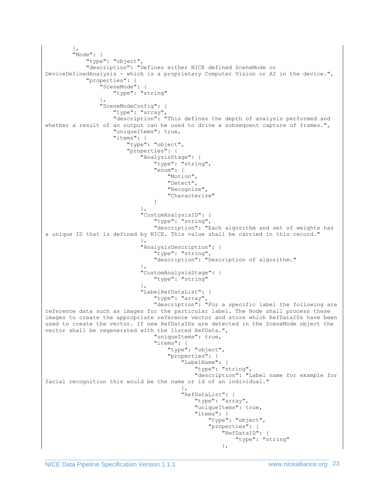```
 },
        "Mode": {
            "type": "object",
            "description": "Defines either NICE defined SceneMode or 
DeviceDefinedAnalysis - which is a proprietary Computer Vision or AI in the device.",
            "properties": {
               "SceneMode": {
                   "type": "string"
 },
               "SceneModeConfig": {
                   "type": "array",
                  "description": "This defines the depth of analysis performed and 
whether a result of an output can be used to drive a subsequent capture of frames.",
                   "uniqueItems": true,
                  "items": {
                       "type": "object",
                      "properties": {
                          "AnalysisStage": {
                              "type": "string",
                             "enum": [
                                  "Motion",
                                 "Detect",
                                 "Recognize",
                                 "Characterize"
 ]
 },
                         "CustomAnalysisID": {
                              "type": "string",
                             "description": "Each algorithm and set of weights has 
a unique ID that is defined by NICE. This value shall be carried in this record."
 },
                         "AnalysisDescription": {
                              "type": "string",
                             "description": "Description of algorithm."
 },
                         "CustomAnalysisStage": {
                              "type": "string"
 },
                          "LabelRefDataList": {
                              "type": "array",
                             "description": "For a specific label the following are 
reference data such as images for the particular label. The Node shall process these 
images to create the appropriate reference vector and store which RefDataIDs have been 
used to create the vector. If new RefDataIDs are detected in the SceneMode object the 
vector shall be regenerated with the listed RefData.",
                              "uniqueItems": true,
                              "items": {
                                  "type": "object",
                                 "properties": {
                                     "LabelName": {
                                         "type": "string",
                                         "description": "Label name for example for 
facial recognition this would be the name or id of an individual."
 },
                                     "RefDataList": {
                                         "type": "array",
                                        "uniqueItems": true,
                                        "items": {
                                             "type": "object",
                                            "properties": {
                                                "RefDataID": {
                                                    "type": "string"
 },
```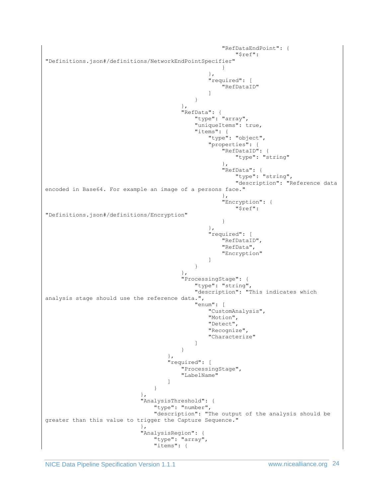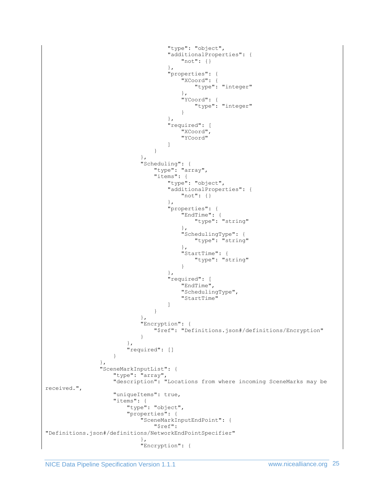```
 "type": "object",
                         "additionalProperties": {
                             "not": {}
 },
                          "properties": {
                             "XCoord": {
                                "type": "integer"
 },
                            "YCoord": {
                                "type": "integer"
 }
 },
                         "required": [
                             "XCoord",
                             "YCoord"
\mathbb{R}^n , the contract of the contract of the contract of \mathbb{R}^n }
 },
                   "Scheduling": {
                       "type": "array",
                       "items": {
                          "type": "object",
                         "additionalProperties": {
                             "not": {}
 },
                         "properties": {
                             "EndTime": {
                                "type": "string"
 },
                             "SchedulingType": {
                               "type": "string"
 },
                            "StartTime": {
                               "type": "string"
 }
 },
                         "required": [
                             "EndTime",
                            "SchedulingType",
                            "StartTime"
\mathbb{R}^2 , the contract of the contract of the contract of \mathbb{R}^2 }
 },
                   "Encryption": {
                       "$ref": "Definitions.json#/definitions/Encryption"
 }
 },
                 "required": []
 }
            },
            "SceneMarkInputList": {
 "type": "array",
"description": "Locations from where incoming SceneMarks may be
received.",
               "uniqueItems": true,
              "items": {
                  "type": "object",
                 "properties": {
                    "SceneMarkInputEndPoint": {
                       "$ref": 
"Definitions.json#/definitions/NetworkEndPointSpecifier"
 },
                   "Encryption": {
```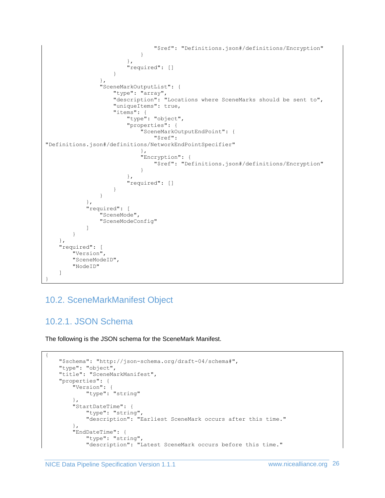```
 "$ref": "Definitions.json#/definitions/Encryption"
 }
 },
                   "required": []
 }
              },
              "SceneMarkOutputList": {
                 "type": "array",
                "description": "Locations where SceneMarks should be sent to",
                "uniqueItems": true,
                "items": {
                    "type": "object",
                    "properties": {
                       "SceneMarkOutputEndPoint": {
                           "$ref": 
"Definitions.json#/definitions/NetworkEndPointSpecifier"
 },
                      "Encryption": {
                           "$ref": "Definitions.json#/definitions/Encryption"
 }
 },
                   "required": []
 }
 }
          },
          "required": [
             "SceneMode",
              "SceneModeConfig"
          ]
       }
    },
    "required": [
       "Version",
       "SceneModeID",
       "NodeID"
    ]
}
```
# <span id="page-25-1"></span><span id="page-25-0"></span>10.2. SceneMarkManifest Object

# 10.2.1. JSON Schema

The following is the JSON schema for the SceneMark Manifest.

```
{
    "$schema": "http://json-schema.org/draft-04/schema#",
    "type": "object",
    "title": "SceneMarkManifest",
    "properties": {
 "Version": {
 "type": "string"
        },
        "StartDateTime": {
            "type": "string",
            "description": "Earliest SceneMark occurs after this time."
        },
         "EndDateTime": {
             "type": "string",
             "description": "Latest SceneMark occurs before this time."
```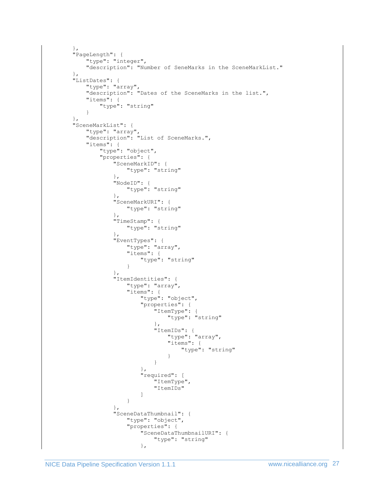```
 },
       "PageLength": {
         "type": "integer",
         "description": "Number of SeneMarks in the SceneMarkList."
      },
      "ListDates": {
         "type": "array",
          "description": "Dates of the SceneMarks in the list.",
          "items": {
            "type": "string"
 }
       },
      "SceneMarkList": {
 "type": "array",
 "description": "List of SceneMarks.",
          "items": {
             "type": "object",
             "properties": {
                "SceneMarkID": {
                  "type": "string"
 },
               "NodeID": {
                  "type": "string"
 },
               "SceneMarkURI": {
                  "type": "string"
                },
               "TimeStamp": {
                  "type": "string"
 },
               "EventTypes": {
                   "type": "array",
                  "items": {
                      "type": "string"
 }
 },
 "ItemIdentities": {
 "type": "array",
                  "items": {
                      "type": "object",
                     "properties": {
                         "ItemType": {
                            "type": "string"
 },
                        "ItemIDs": {
                            "type": "array",
                           "items": {
                            "type": "string"
 }
 }
 },
                     },<br>"required": [
                        .<br>"ItemType",
                        "ItemIDs"
\overline{\phantom{a}} }
 },
               "SceneDataThumbnail": {
                   "type": "object",
                   "properties": {
                      "SceneDataThumbnailURI": {
                         "type": "string"
 },
```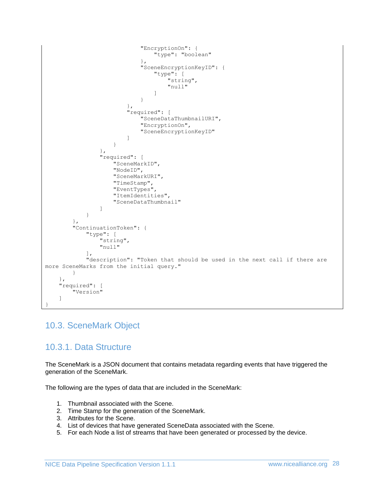```
 "EncryptionOn": {
                                      "type": "boolean"
 },
                                "SceneEncryptionKeyID": {
                                     "type": [
                                          "string",
                                         "null"
 ]
 }
 },
                           "required": [
                                 "SceneDataThumbnailURI",
                                "EncryptionOn",
                                "SceneEncryptionKeyID"
\sim 100 \sim 100 \sim 100 \sim 100 \sim 100 \sim 100 \sim 100 \sim 100 \sim 100 \sim 100 \sim 100 \sim 100 \sim 100 \sim 100 \sim 100 \sim 100 \sim 100 \sim 100 \sim 100 \sim 100 \sim 100 \sim 100 \sim 100 \sim 100 \sim 
 }
                   },
                   "required": [
                        "SceneMarkID",
                       "NodeID",
                       "SceneMarkURI",
                       "TimeStamp",
                       "EventTypes",
                       "ItemIdentities",
                       "SceneDataThumbnail"
 ]
 }
          },
          "ContinuationToken": {
               "type": [
                   "string",
                   "null"
              \cdot "description": "Token that should be used in the next call if there are 
more SceneMarks from the initial query."
          }
     },
     "required": [
          "Version"
     ]
}
```
### <span id="page-27-1"></span><span id="page-27-0"></span>10.3. SceneMark Object

### 10.3.1. Data Structure

The SceneMark is a JSON document that contains metadata regarding events that have triggered the generation of the SceneMark.

The following are the types of data that are included in the SceneMark:

- 1. Thumbnail associated with the Scene.
- 2. Time Stamp for the generation of the SceneMark.
- 3. Attributes for the Scene.
- 4. List of devices that have generated SceneData associated with the Scene.
- 5. For each Node a list of streams that have been generated or processed by the device.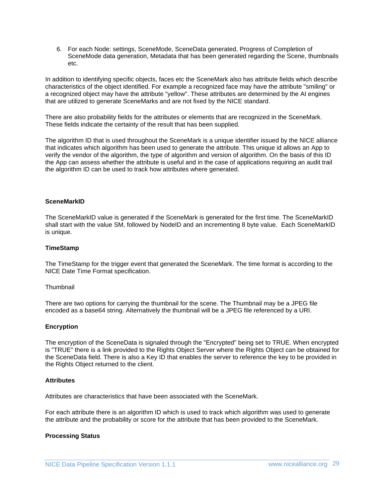6. For each Node: settings, SceneMode, SceneData generated, Progress of Completion of SceneMode data generation, Metadata that has been generated regarding the Scene, thumbnails etc.

In addition to identifying specific objects, faces etc the SceneMark also has attribute fields which describe characteristics of the object identified. For example a recognized face may have the attribute "smiling" or a recognized object may have the attribute "yellow". These attributes are determined by the AI engines that are utilized to generate SceneMarks and are not fixed by the NICE standard.

There are also probability fields for the attributes or elements that are recognized in the SceneMark. These fields indicate the certainty of the result that has been supplied.

The algorithm ID that is used throughout the SceneMark is a unique identifier issued by the NICE alliance that indicates which algorithm has been used to generate the attribute. This unique id allows an App to verify the vendor of the algorithm, the type of algorithm and version of algorithm. On the basis of this ID the App can assess whether the attribute is useful and in the case of applications requiring an audit trail the algorithm ID can be used to track how attributes where generated.

#### **SceneMarkID**

The SceneMarkID value is generated if the SceneMark is generated for the first time. The SceneMarkID shall start with the value SM, followed by NodeID and an incrementing 8 byte value. Each SceneMarkID is unique.

#### **TimeStamp**

The TimeStamp for the trigger event that generated the SceneMark. The time format is according to the NICE Date Time Format specification.

#### **Thumbnail**

There are two options for carrying the thumbnail for the scene. The Thumbnail may be a JPEG file encoded as a base64 string. Alternatively the thumbnail will be a JPEG file referenced by a URI.

#### **Encryption**

The encryption of the SceneData is signaled through the "Encrypted" being set to TRUE. When encrypted is "TRUE" there is a link provided to the Rights Object Server where the Rights Object can be obtained for the SceneData field. There is also a Key ID that enables the server to reference the key to be provided in the Rights Object returned to the client.

#### **Attributes**

Attributes are characteristics that have been associated with the SceneMark.

For each attribute there is an algorithm ID which is used to track which algorithm was used to generate the attribute and the probability or score for the attribute that has been provided to the SceneMark.

#### **Processing Status**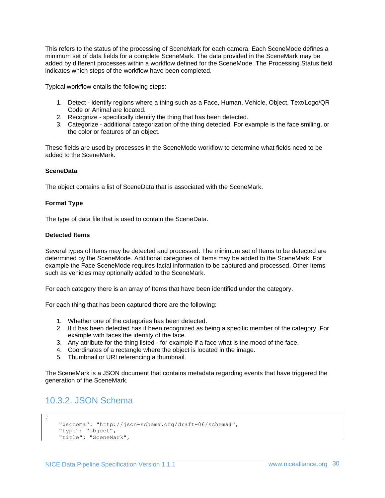This refers to the status of the processing of SceneMark for each camera. Each SceneMode defines a minimum set of data fields for a complete SceneMark. The data provided in the SceneMark may be added by different processes within a workflow defined for the SceneMode. The Processing Status field indicates which steps of the workflow have been completed.

Typical workflow entails the following steps:

- 1. Detect identify regions where a thing such as a Face, Human, Vehicle, Object, Text/Logo/QR Code or Animal are located.
- 2. Recognize specifically identify the thing that has been detected.
- 3. Categorize additional categorization of the thing detected. For example is the face smiling, or the color or features of an object.

These fields are used by processes in the SceneMode workflow to determine what fields need to be added to the SceneMark.

#### **SceneData**

The object contains a list of SceneData that is associated with the SceneMark.

#### **Format Type**

The type of data file that is used to contain the SceneData.

#### **Detected Items**

Several types of Items may be detected and processed. The minimum set of Items to be detected are determined by the SceneMode. Additional categories of Items may be added to the SceneMark. For example the Face SceneMode requires facial information to be captured and processed. Other Items such as vehicles may optionally added to the SceneMark.

For each category there is an array of Items that have been identified under the category.

For each thing that has been captured there are the following:

- 1. Whether one of the categories has been detected.
- 2. If it has been detected has it been recognized as being a specific member of the category. For example with faces the identity of the face.
- 3. Any attribute for the thing listed for example if a face what is the mood of the face.
- 4. Coordinates of a rectangle where the object is located in the image.
- 5. Thumbnail or URI referencing a thumbnail.

The SceneMark is a JSON document that contains metadata regarding events that have triggered the generation of the SceneMark.

### <span id="page-29-0"></span>10.3.2. JSON Schema

{

```
 "$schema": "http://json-schema.org/draft-06/schema#",
 "type": "object",
 "title": "SceneMark",
```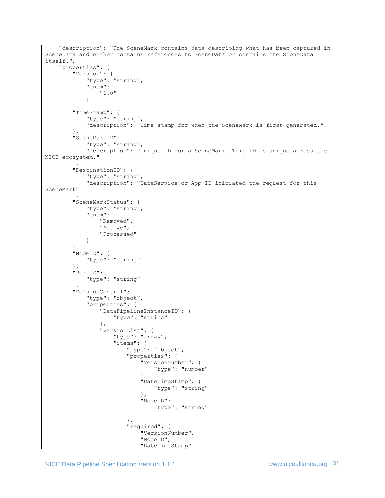```
 "description": "The SceneMark contains data describing what has been captured in 
SceneData and either contains references to SceneData or contains the SceneData 
itself.",
     "properties": {
        "Version": {
            "type": "string",
            "enum": [
                "1.0"
 ]
         },
        "TimeStamp": {
            "type": "string",
            "description": "Time stamp for when the SceneMark is first generated."
         },
        "SceneMarkID": {
            "type": "string",
            "description": "Unique ID for a SceneMark. This ID is unique across the 
NICE ecosystem."
        },
        "DestinationID": {
            "type": "string",
            "description": "DataService or App ID initiated the request for this 
SceneMark"
 },
 "SceneMarkStatus": {
            "type": "string",
            "enum": [
                "Removed",
                "Active",
                "Processed"
 ]
         },
         "NodeID": {
            "type": "string"
        },
        "PortID": {
            "type": "string"
         },
         "VersionControl": {
            "type": "object",
            "properties": {
                "DataPipelineInstanceID": {
                    "type": "string"
                },
                "VersionList": {
                    "type": "array",
                   "items": {
                        "type": "object",
                       "properties": {
                            "VersionNumber": {
                                "type": "number"
 },
                            "DateTimeStamp": {
                               "type": "string"
 },
                           "NodeID": {
                                "type": "string"
 }
 },
                       "required": [
                           "VersionNumber",
                          "NodeID",
                           "DateTimeStamp"
```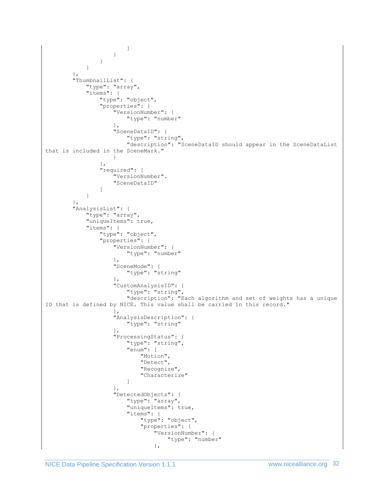```
\sim 100 \sim 100 \sim 100 \sim 100 \sim 100 \sim 100 \sim 100 \sim 100 \sim 100 \sim 100 \sim 100 \sim 100 \sim 100 \sim 100 \sim 100 \sim 100 \sim 100 \sim 100 \sim 100 \sim 100 \sim 100 \sim 100 \sim 100 \sim 100 \sim 
                        }
                    }
               }
          },
           "ThumbnailList": {
               "type": "array",
                "items": {
                    "type": "object",
                     "properties": {
                         "VersionNumber": {
                              "type": "number"
 },
                         "SceneDataID": {
                              "type": "string",
                             "description": "SceneDataID should appear in the SceneDataList 
that is included in the SceneMark."
 }
                     },
                     "required": [
                         "VersionNumber".
                         "SceneDataID"
 ]
 }
           },
           "AnalysisList": {
               "type": "array",
                "uniqueItems": true,
                "items": {
                    "type": "object",
                     "properties": {
                          "VersionNumber": {
                              "type": "number"
 },
                         "SceneMode": {
                              "type": "string"
 },
                        "CustomAnalysisID": {
                              "type": "string",
                              "description": "Each algorithm and set of weights has a unique 
ID that is defined by NICE. This value shall be carried in this record."
 },
                         "AnalysisDescription": {
                              "type": "string"
 },
                        "ProcessingStatus": {
                              "type": "string",
                             "enum": [
                                   "Motion",
                                  "Detect",
                                  "Recognize",
                                   "Characterize"
\sim 100 \sim 100 \sim 100 \sim 100 \sim 100 \sim 100 \sim 100 \sim 100 \sim 100 \sim 100 \sim 100 \sim 100 \sim 100 \sim 100 \sim 100 \sim 100 \sim 100 \sim 100 \sim 100 \sim 100 \sim 100 \sim 100 \sim 100 \sim 100 \sim 
 },
                          "DetectedObjects": {
                              "type": "array",
                             "uniqueItems": true,
                             "items": {
                                   "type": "object",
                                  "properties": {
                                        "VersionNumber": {
                                             "type": "number"
 },
```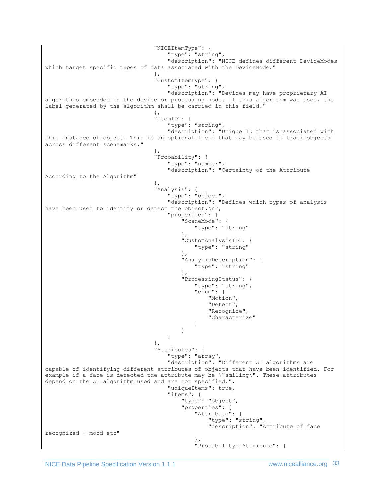"NICEItemType": { "type": "string", "description": "NICE defines different DeviceModes which target specific types of data associated with the DeviceMode." }, "CustomItemType": { "type": "string", "description": "Devices may have proprietary AI algorithms embedded in the device or processing node. If this algorithm was used, the label generated by the algorithm shall be carried in this field." }, "ItemID": { "type": "string", "description": "Unique ID that is associated with this instance of object. This is an optional field that may be used to track objects across different scenemarks." }, "Probability": { "type": "number", "description": "Certainty of the Attribute According to the Algorithm" }, "Analysis": { "type": "object", "description": "Defines which types of analysis have been used to identify or detect the object.\n", "properties": { "SceneMode": { "type": "string" }, "CustomAnalysisID": { "type": "string" }, "AnalysisDescription": { "type": "string" }, "ProcessingStatus": { "type": "string", "enum": [ "Motion", "Detect", "Recognize", "Characterize"  $\mathbb{R}^n$  . The contract of the contract of the contract of the contract of the contract of the contract of the contract of the contract of the contract of the contract of the contract of the contract of the contract of } } }, "Attributes": { "type": "array", "description": "Different AI algorithms are capable of identifying different attributes of objects that have been identified. For example if a face is detected the attribute may be \"smiling\". These attributes depend on the AI algorithm used and are not specified.", "uniqueItems": true, "items": { "type": "object", "properties": { "Attribute": { "type": "string", "description": "Attribute of face recognized - mood etc"  $\}$ , "ProbabilityofAttribute": {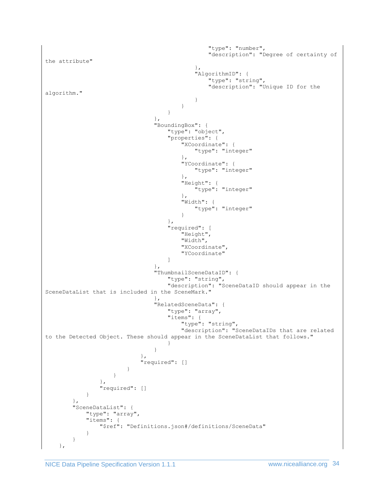```
 "type": "number",
                                 "description": "Degree of certainty of 
the attribute"
\},
                              'AlgorithmID": {
                                  "type": "string",
                                 "description": "Unique ID for the 
algorithm."
 }
 }
 }
 },
                       "BoundingBox": {
                         "type": "object",
                        "properties": {
                            "XCoordinate": {
                               "type": "integer"
 },
                           "YCoordinate": {
                               "type": "integer"
 },
                            "Height": {
                               "type": "integer"
 },
                           "Width": {
                               "type": "integer"
 }
 },
                        "required": [
                            "Height",
                           "Width",
                           "XCoordinate",
                           "YCoordinate"
\mathbb{R}^2 , the contract of the contract of the contract of \mathbb{R}^2 },
                      "ThumbnailSceneDataID": {
                         "type": "string",
                        "description": "SceneDataID should appear in the 
SceneDataList that is included in the SceneMark."
 },
                      "RelatedSceneData": {
                         "type": "array",
                        "items": {
                            "type": "string",
                           "description": "SceneDataIDs that are related 
to the Detected Object. These should appear in the SceneDataList that follows."
 }
 }
 },
                   "required": []
 }
             }
            },
            "required": []
 }
      },
      "SceneDataList": {
         "type": "array",
         "items": {
            "$ref": "Definitions.json#/definitions/SceneData"
 }
      }
   },
```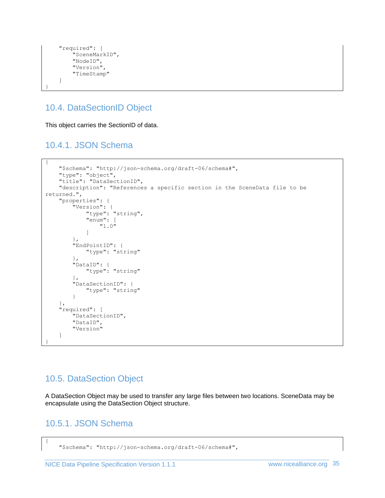```
 "required": [
          "SceneMarkID",
          "NodeID",
          "Version",
          "TimeStamp"
     ]
}
```
# <span id="page-34-0"></span>10.4. DataSectionID Object

This object carries the SectionID of data.

# <span id="page-34-1"></span>10.4.1. JSON Schema

```
{
     "$schema": "http://json-schema.org/draft-06/schema#",
     "type": "object",
     "title": "DataSectionID",
     "description": "References a specific section in the SceneData file to be 
returned.",
     "properties": {
 "Version": {
 "type": "string",
             "enum": [
                 "1.0"
 ]
         },
         "EndPointID": {
             "type": "string"
         },
         "DataID": {
             "type": "string"
         },
         "DataSectionID": {
             "type": "string"
         }
     },
     "required": [
         "DataSectionID",
         "DataID",
         "Version"
     ]
}
```
# <span id="page-34-2"></span>10.5. DataSection Object

A DataSection Object may be used to transfer any large files between two locations. SceneData may be encapsulate using the DataSection Object structure.

# <span id="page-34-3"></span>10.5.1. JSON Schema

{

 <sup>&</sup>quot;\$schema": "http://json-schema.org/draft-06/schema#",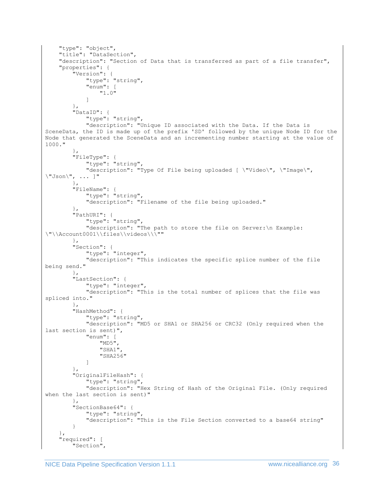```
 "type": "object",
     "title": "DataSection",
     "description": "Section of Data that is transferred as part of a file transfer",
     "properties": {
         "Version": {
             "type": "string",
             "enum": [
                 "1.0"
 ]
         },
         "DataID": {
             "type": "string",
             "description": "Unique ID associated with the Data. If the Data is 
SceneData, the ID is made up of the prefix 'SD' followed by the unique Node ID for the 
Node that generated the SceneData and an incrementing number starting at the value of 
1000."
         },
         "FileType": {
            "type": "string",
             "description": "Type Of File being uploaded [ \"Video\", \"Image\", 
\"Json\", ... ]"
         },
         "FileName": {
             "type": "string",
             "description": "Filename of the file being uploaded."
 },
         "PathURI": {
             "type": "string",
             "description": "The path to store the file on Server:\n Example: 
\"\\Account0001\\files\\videos\\\""
 },
 "Section": {
             "type": "integer",
             "description": "This indicates the specific splice number of the file 
being send."
 },
         "LastSection": {
             "type": "integer",
             "description": "This is the total number of splices that the file was 
spliced into."
 },
         "HashMethod": {
            "type": "string",
             "description": "MD5 or SHA1 or SHA256 or CRC32 (Only required when the 
last section is sent)",
             "enum": [
                 "MD5",
                 "SHA1",
                 "SHA256"
 ]
 },
 "OriginalFileHash": {
             "type": "string",
             "description": "Hex String of Hash of the Original File. (Only required 
when the last section is sent)"
         },
         "SectionBase64": {
             "type": "string",
             "description": "This is the File Section converted to a base64 string"
         }
     },
     "required": [
         "Section",
```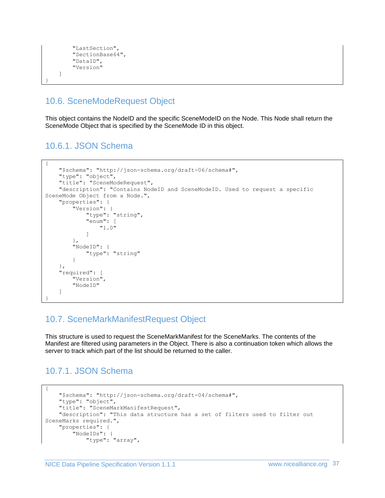```
 "LastSection",
          "SectionBase64",
          "DataID",
          "Version"
     ]
}
```
# <span id="page-36-0"></span>10.6. SceneModeRequest Object

This object contains the NodeID and the specific SceneModeID on the Node. This Node shall return the SceneMode Object that is specified by the SceneMode ID in this object.

### <span id="page-36-1"></span>10.6.1. JSON Schema

```
{
     "$schema": "http://json-schema.org/draft-06/schema#",
 "type": "object",
 "title": "SceneModeRequest",
     "description": "Contains NodeID and SceneModeID. Used to request a specific 
SceneMode Object from a Node.",
     "properties": {
 "Version": {
 "type": "string",
             "enum": [
                "1.0"
 ]
         },
         "NodeID": {
            "type": "string"
         }
     },
     "required": [
        "Version",
        "NodeID"
     ]
}
```
# <span id="page-36-2"></span>10.7. SceneMarkManifestRequest Object

This structure is used to request the SceneMarkManifest for the SceneMarks. The contents of the Manifest are filtered using parameters in the Object. There is also a continuation token which allows the server to track which part of the list should be returned to the caller.

# <span id="page-36-3"></span>10.7.1. JSON Schema

```
{
     "$schema": "http://json-schema.org/draft-04/schema#",
     "type": "object",
     "title": "SceneMarkManifestRequest",
    "description": "This data structure has a set of filters used to filter out
SceneMarks required.",
     "properties": {
         "NodeIDs": {
             "type": "array",
```